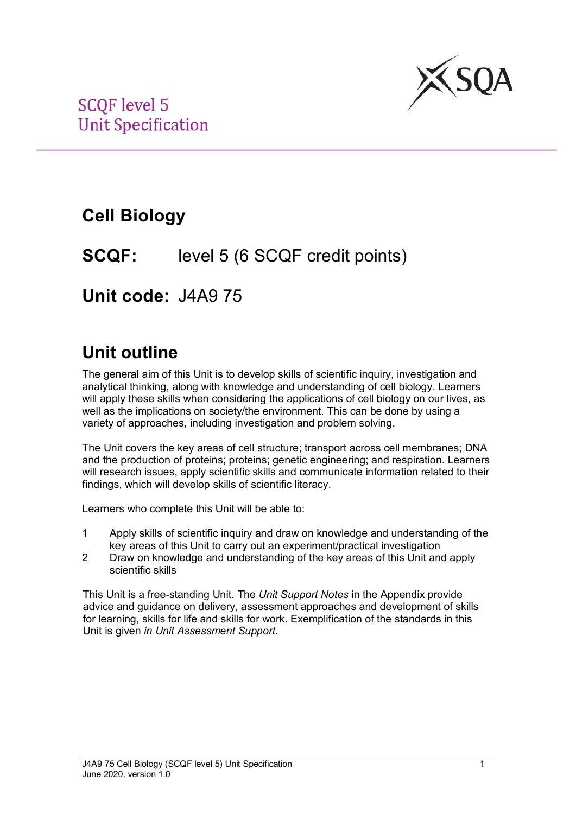

## **Cell Biology**

### **SCQF:** level 5 (6 SCQF credit points)

**Unit code:** J4A9 75

## **Unit outline**

The general aim of this Unit is to develop skills of scientific inquiry, investigation and analytical thinking, along with knowledge and understanding of cell biology. Learners will apply these skills when considering the applications of cell biology on our lives, as well as the implications on society/the environment. This can be done by using a variety of approaches, including investigation and problem solving.

The Unit covers the key areas of cell structure; transport across cell membranes; DNA and the production of proteins; proteins; genetic engineering; and respiration. Learners will research issues, apply scientific skills and communicate information related to their findings, which will develop skills of scientific literacy.

Learners who complete this Unit will be able to:

- 1 Apply skills of scientific inquiry and draw on knowledge and understanding of the key areas of this Unit to carry out an experiment/practical investigation
- 2 Draw on knowledge and understanding of the key areas of this Unit and apply scientific skills

This Unit is a free-standing Unit. The *Unit Support Notes* in the Appendix provide advice and guidance on delivery, assessment approaches and development of skills for learning, skills for life and skills for work. Exemplification of the standards in this Unit is given *in Unit Assessment Support*.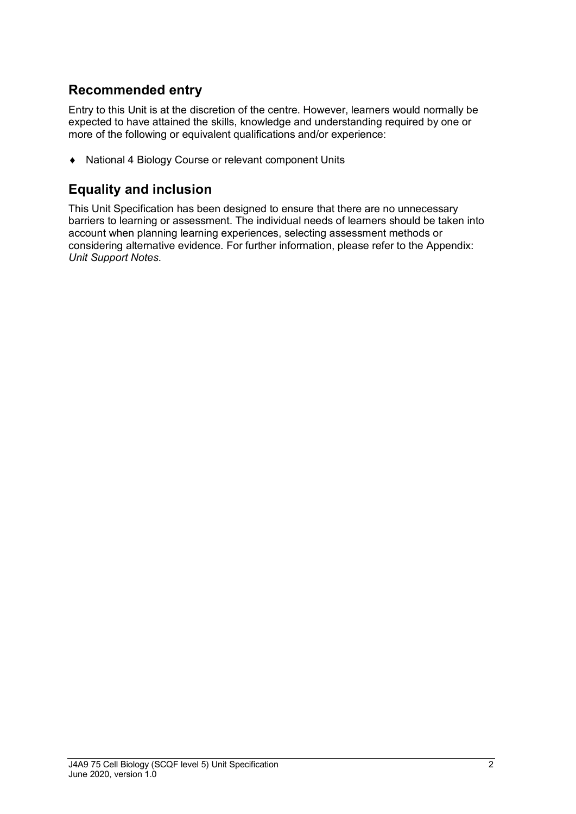### **Recommended entry**

Entry to this Unit is at the discretion of the centre. However, learners would normally be expected to have attained the skills, knowledge and understanding required by one or more of the following or equivalent qualifications and/or experience:

♦ National 4 Biology Course or relevant component Units

#### **Equality and inclusion**

This Unit Specification has been designed to ensure that there are no unnecessary barriers to learning or assessment. The individual needs of learners should be taken into account when planning learning experiences, selecting assessment methods or considering alternative evidence. For further information, please refer to the Appendix: *Unit Support Notes.*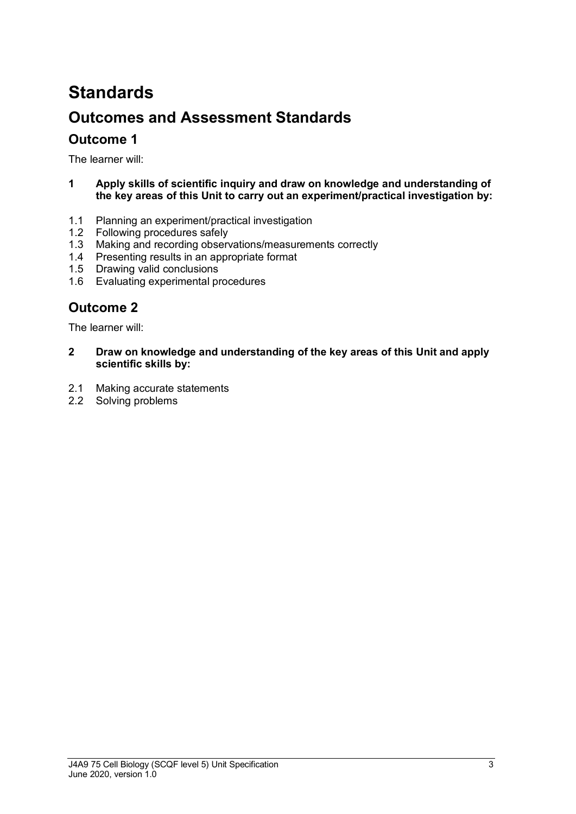# **Standards Outcomes and Assessment Standards**

#### **Outcome 1**

The learner will:

- **1 Apply skills of scientific inquiry and draw on knowledge and understanding of the key areas of this Unit to carry out an experiment/practical investigation by:**
- 1.1 Planning an experiment/practical investigation
- 1.2 Following procedures safely
- 1.3 Making and recording observations/measurements correctly
- 1.4 Presenting results in an appropriate format
- 1.5 Drawing valid conclusions
- 1.6 Evaluating experimental procedures

### **Outcome 2**

The learner will:

- **2 Draw on knowledge and understanding of the key areas of this Unit and apply scientific skills by:**
- 2.1 Making accurate statements
- 2.2 Solving problems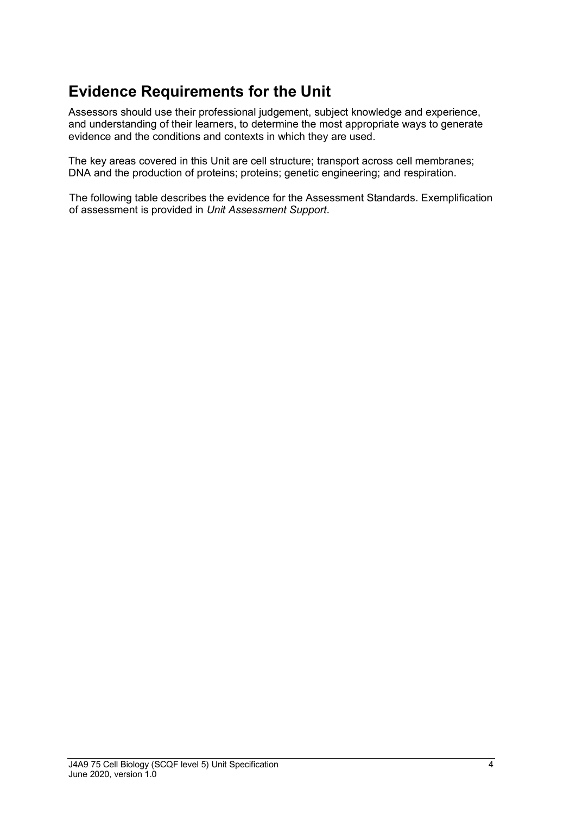### **Evidence Requirements for the Unit**

Assessors should use their professional judgement, subject knowledge and experience, and understanding of their learners, to determine the most appropriate ways to generate evidence and the conditions and contexts in which they are used.

The key areas covered in this Unit are cell structure; transport across cell membranes; DNA and the production of proteins; proteins; genetic engineering; and respiration.

The following table describes the evidence for the Assessment Standards. Exemplification of assessment is provided in *Unit Assessment Support*.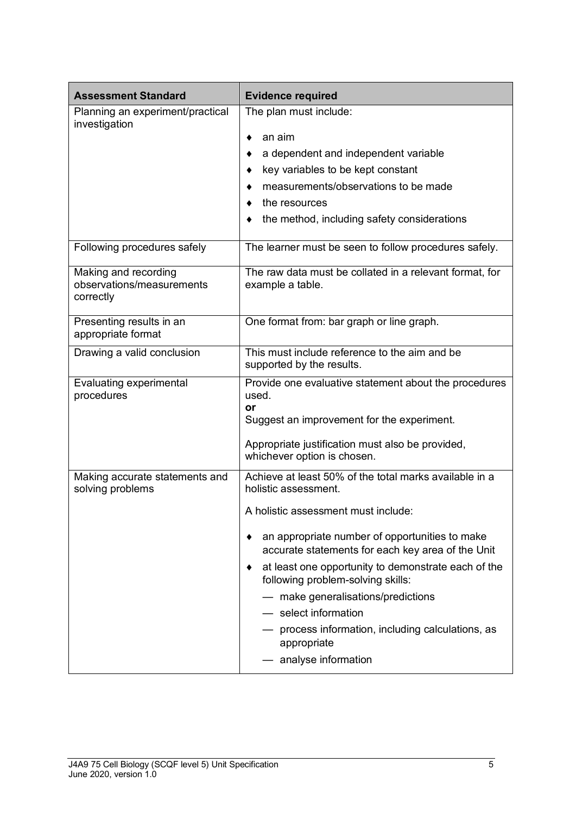| <b>Assessment Standard</b>                                     | <b>Evidence required</b>                                                                                                                                                                                                                                                                                                                                                                                                                                                            |  |
|----------------------------------------------------------------|-------------------------------------------------------------------------------------------------------------------------------------------------------------------------------------------------------------------------------------------------------------------------------------------------------------------------------------------------------------------------------------------------------------------------------------------------------------------------------------|--|
| Planning an experiment/practical<br>investigation              | The plan must include:<br>an aim<br>٠<br>a dependent and independent variable<br>key variables to be kept constant<br>measurements/observations to be made<br>the resources<br>the method, including safety considerations                                                                                                                                                                                                                                                          |  |
| Following procedures safely                                    | The learner must be seen to follow procedures safely.                                                                                                                                                                                                                                                                                                                                                                                                                               |  |
| Making and recording<br>observations/measurements<br>correctly | The raw data must be collated in a relevant format, for<br>example a table.                                                                                                                                                                                                                                                                                                                                                                                                         |  |
| Presenting results in an<br>appropriate format                 | One format from: bar graph or line graph.                                                                                                                                                                                                                                                                                                                                                                                                                                           |  |
| Drawing a valid conclusion                                     | This must include reference to the aim and be<br>supported by the results.                                                                                                                                                                                                                                                                                                                                                                                                          |  |
| Evaluating experimental<br>procedures                          | Provide one evaluative statement about the procedures<br>used.<br>or<br>Suggest an improvement for the experiment.<br>Appropriate justification must also be provided,<br>whichever option is chosen.                                                                                                                                                                                                                                                                               |  |
| Making accurate statements and<br>solving problems             | Achieve at least 50% of the total marks available in a<br>holistic assessment.<br>A holistic assessment must include:<br>an appropriate number of opportunities to make<br>accurate statements for each key area of the Unit<br>at least one opportunity to demonstrate each of the<br>following problem-solving skills:<br>- make generalisations/predictions<br>- select information<br>- process information, including calculations, as<br>appropriate<br>- analyse information |  |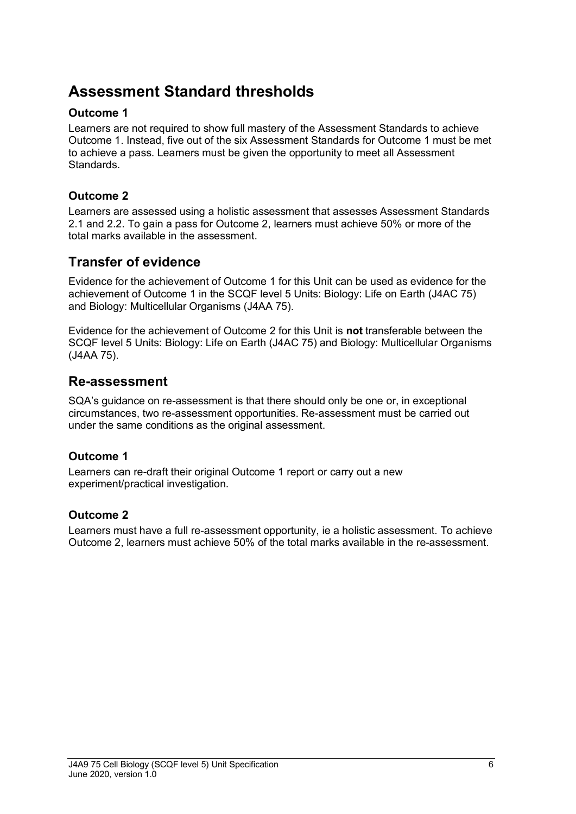### **Assessment Standard thresholds**

#### **Outcome 1**

Learners are not required to show full mastery of the Assessment Standards to achieve Outcome 1. Instead, five out of the six Assessment Standards for Outcome 1 must be met to achieve a pass. Learners must be given the opportunity to meet all Assessment Standards.

#### **Outcome 2**

Learners are assessed using a holistic assessment that assesses Assessment Standards 2.1 and 2.2. To gain a pass for Outcome 2, learners must achieve 50% or more of the total marks available in the assessment.

### **Transfer of evidence**

Evidence for the achievement of Outcome 1 for this Unit can be used as evidence for the achievement of Outcome 1 in the SCQF level 5 Units: Biology: Life on Earth (J4AC 75) and Biology: Multicellular Organisms (J4AA 75).

Evidence for the achievement of Outcome 2 for this Unit is **not** transferable between the SCQF level 5 Units: Biology: Life on Earth (J4AC 75) and Biology: Multicellular Organisms (J4AA 75).

#### **Re-assessment**

SQA's guidance on re-assessment is that there should only be one or, in exceptional circumstances, two re-assessment opportunities. Re-assessment must be carried out under the same conditions as the original assessment.

#### **Outcome 1**

Learners can re-draft their original Outcome 1 report or carry out a new experiment/practical investigation.

#### **Outcome 2**

Learners must have a full re-assessment opportunity, ie a holistic assessment. To achieve Outcome 2, learners must achieve 50% of the total marks available in the re-assessment.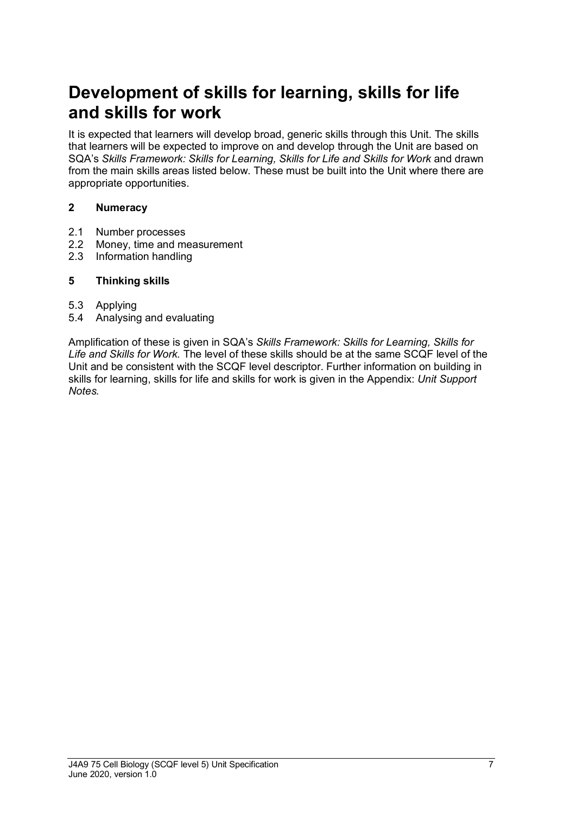## **Development of skills for learning, skills for life and skills for work**

It is expected that learners will develop broad, generic skills through this Unit. The skills that learners will be expected to improve on and develop through the Unit are based on SQA's *Skills Framework: Skills for Learning, Skills for Life and Skills for Work* and drawn from the main skills areas listed below. These must be built into the Unit where there are appropriate opportunities.

#### **2 Numeracy**

- 2.1 Number processes
- 2.2 Money, time and measurement
- 2.3 Information handling

#### **5 Thinking skills**

- 5.3 Applying
- 5.4 Analysing and evaluating

Amplification of these is given in SQA's *Skills Framework: Skills for Learning, Skills for Life and Skills for Work.* The level of these skills should be at the same SCQF level of the Unit and be consistent with the SCQF level descriptor. Further information on building in skills for learning, skills for life and skills for work is given in the Appendix: *Unit Support Notes.*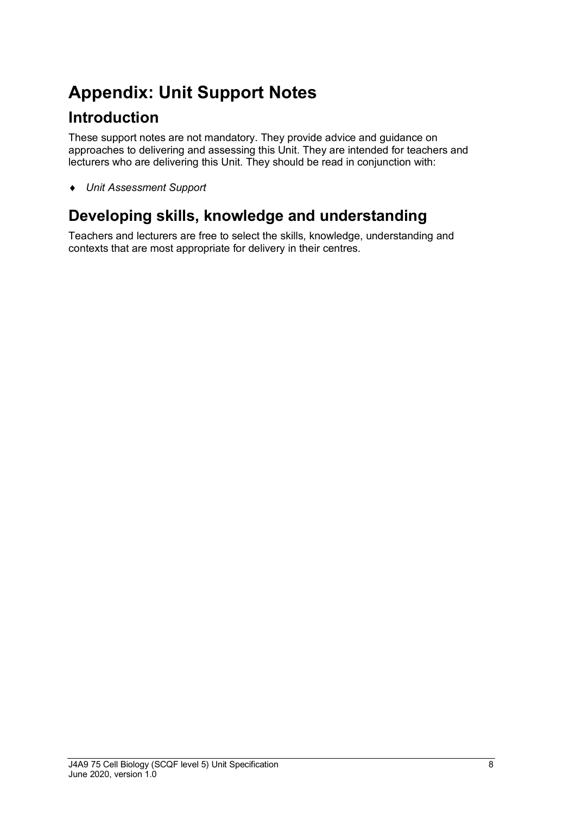# **Appendix: Unit Support Notes**

### **Introduction**

These support notes are not mandatory. They provide advice and guidance on approaches to delivering and assessing this Unit. They are intended for teachers and lecturers who are delivering this Unit. They should be read in conjunction with:

♦ *Unit Assessment Support* 

### **Developing skills, knowledge and understanding**

Teachers and lecturers are free to select the skills, knowledge, understanding and contexts that are most appropriate for delivery in their centres.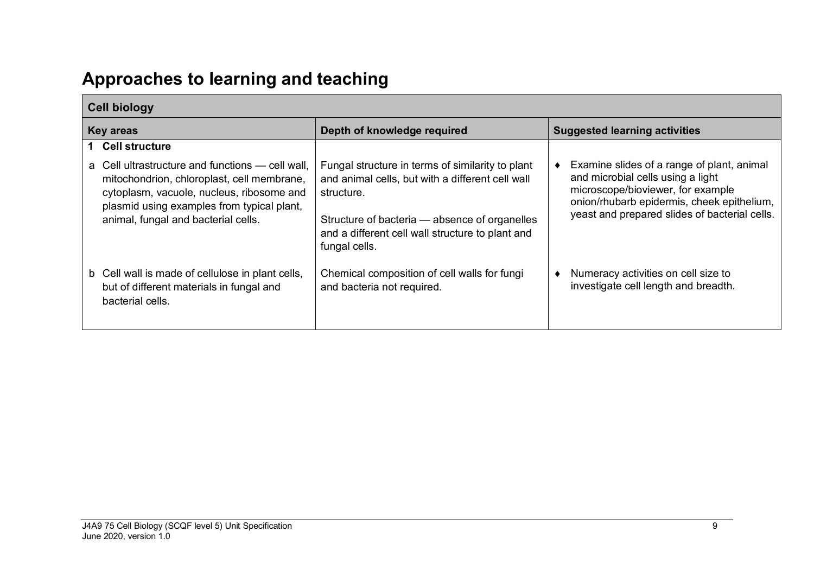# **Approaches to learning and teaching**

|                  | <b>Cell biology</b>                                                                                                                                                                                                                 |                                                                                                                                                                                                                                          |                                                                                                                                                                                                                     |
|------------------|-------------------------------------------------------------------------------------------------------------------------------------------------------------------------------------------------------------------------------------|------------------------------------------------------------------------------------------------------------------------------------------------------------------------------------------------------------------------------------------|---------------------------------------------------------------------------------------------------------------------------------------------------------------------------------------------------------------------|
| <b>Key areas</b> |                                                                                                                                                                                                                                     | Depth of knowledge required                                                                                                                                                                                                              | <b>Suggested learning activities</b>                                                                                                                                                                                |
|                  | <b>Cell structure</b>                                                                                                                                                                                                               |                                                                                                                                                                                                                                          |                                                                                                                                                                                                                     |
|                  | Cell ultrastructure and functions — cell wall,<br>a<br>mitochondrion, chloroplast, cell membrane,<br>cytoplasm, vacuole, nucleus, ribosome and<br>plasmid using examples from typical plant,<br>animal, fungal and bacterial cells. | Fungal structure in terms of similarity to plant<br>and animal cells, but with a different cell wall<br>structure.<br>Structure of bacteria - absence of organelles<br>and a different cell wall structure to plant and<br>fungal cells. | Examine slides of a range of plant, animal<br>and microbial cells using a light<br>microscope/bioviewer, for example<br>onion/rhubarb epidermis, cheek epithelium,<br>yeast and prepared slides of bacterial cells. |
|                  | b Cell wall is made of cellulose in plant cells,<br>but of different materials in fungal and<br>bacterial cells.                                                                                                                    | Chemical composition of cell walls for fungi<br>and bacteria not required.                                                                                                                                                               | Numeracy activities on cell size to<br>investigate cell length and breadth.                                                                                                                                         |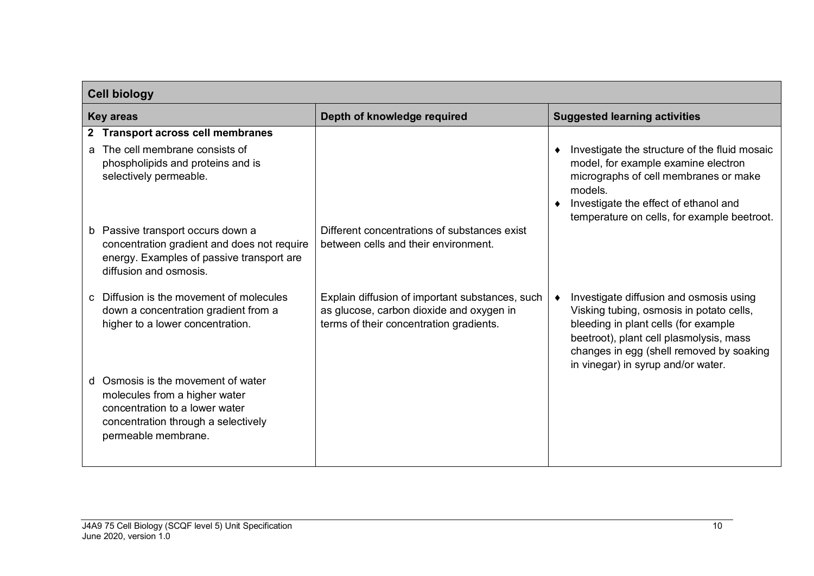| <b>Cell biology</b>                                                                                                                                                    |                                                                                                                                        |                                                                                                                                                                                                                                                          |  |
|------------------------------------------------------------------------------------------------------------------------------------------------------------------------|----------------------------------------------------------------------------------------------------------------------------------------|----------------------------------------------------------------------------------------------------------------------------------------------------------------------------------------------------------------------------------------------------------|--|
| <b>Key areas</b>                                                                                                                                                       | Depth of knowledge required                                                                                                            | <b>Suggested learning activities</b>                                                                                                                                                                                                                     |  |
| <b>Transport across cell membranes</b><br>$\mathbf{2}$<br>The cell membrane consists of<br>a.<br>phospholipids and proteins and is<br>selectively permeable.           |                                                                                                                                        | Investigate the structure of the fluid mosaic<br>model, for example examine electron<br>micrographs of cell membranes or make<br>models.<br>Investigate the effect of ethanol and<br>temperature on cells, for example beetroot.                         |  |
| b Passive transport occurs down a<br>concentration gradient and does not require<br>energy. Examples of passive transport are<br>diffusion and osmosis.                | Different concentrations of substances exist<br>between cells and their environment.                                                   |                                                                                                                                                                                                                                                          |  |
| Diffusion is the movement of molecules<br>$\mathbf{C}$<br>down a concentration gradient from a<br>higher to a lower concentration.                                     | Explain diffusion of important substances, such<br>as glucose, carbon dioxide and oxygen in<br>terms of their concentration gradients. | Investigate diffusion and osmosis using<br>Visking tubing, osmosis in potato cells,<br>bleeding in plant cells (for example<br>beetroot), plant cell plasmolysis, mass<br>changes in egg (shell removed by soaking<br>in vinegar) in syrup and/or water. |  |
| Osmosis is the movement of water<br>d<br>molecules from a higher water<br>concentration to a lower water<br>concentration through a selectively<br>permeable membrane. |                                                                                                                                        |                                                                                                                                                                                                                                                          |  |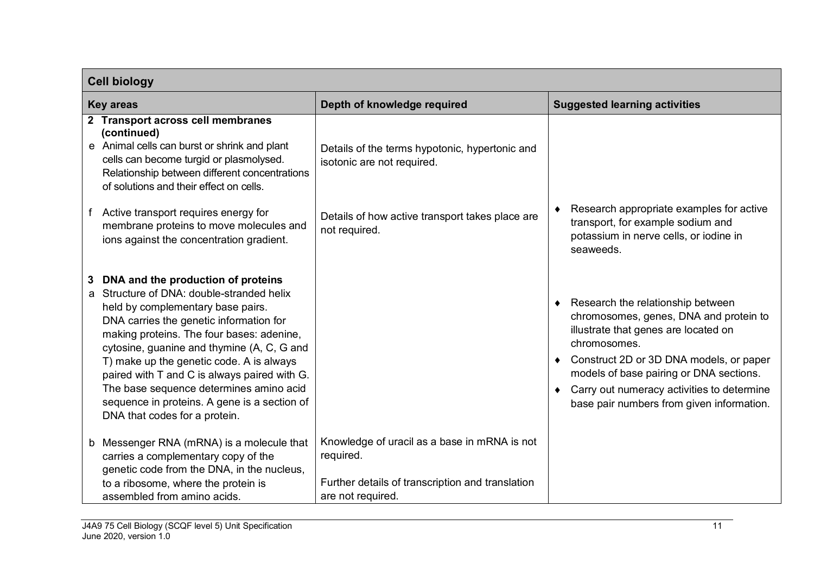| <b>Cell biology</b>                                                                                                                                                                                                                                                                                                                                                                                                                                                                   |                                                                                                                                    |                                                                                                                                                                                                                                                                                                                      |
|---------------------------------------------------------------------------------------------------------------------------------------------------------------------------------------------------------------------------------------------------------------------------------------------------------------------------------------------------------------------------------------------------------------------------------------------------------------------------------------|------------------------------------------------------------------------------------------------------------------------------------|----------------------------------------------------------------------------------------------------------------------------------------------------------------------------------------------------------------------------------------------------------------------------------------------------------------------|
| <b>Key areas</b>                                                                                                                                                                                                                                                                                                                                                                                                                                                                      | Depth of knowledge required                                                                                                        | <b>Suggested learning activities</b>                                                                                                                                                                                                                                                                                 |
| 2 Transport across cell membranes<br>(continued)<br>e Animal cells can burst or shrink and plant<br>cells can become turgid or plasmolysed.<br>Relationship between different concentrations<br>of solutions and their effect on cells.                                                                                                                                                                                                                                               | Details of the terms hypotonic, hypertonic and<br>isotonic are not required.                                                       |                                                                                                                                                                                                                                                                                                                      |
| Active transport requires energy for<br>membrane proteins to move molecules and<br>ions against the concentration gradient.                                                                                                                                                                                                                                                                                                                                                           | Details of how active transport takes place are<br>not required.                                                                   | Research appropriate examples for active<br>transport, for example sodium and<br>potassium in nerve cells, or iodine in<br>seaweeds.                                                                                                                                                                                 |
| DNA and the production of proteins<br>Structure of DNA: double-stranded helix<br>a<br>held by complementary base pairs.<br>DNA carries the genetic information for<br>making proteins. The four bases: adenine,<br>cytosine, guanine and thymine (A, C, G and<br>T) make up the genetic code. A is always<br>paired with T and C is always paired with G.<br>The base sequence determines amino acid<br>sequence in proteins. A gene is a section of<br>DNA that codes for a protein. |                                                                                                                                    | Research the relationship between<br>chromosomes, genes, DNA and protein to<br>illustrate that genes are located on<br>chromosomes.<br>Construct 2D or 3D DNA models, or paper<br>models of base pairing or DNA sections.<br>Carry out numeracy activities to determine<br>base pair numbers from given information. |
| b Messenger RNA (mRNA) is a molecule that<br>carries a complementary copy of the<br>genetic code from the DNA, in the nucleus,<br>to a ribosome, where the protein is<br>assembled from amino acids.                                                                                                                                                                                                                                                                                  | Knowledge of uracil as a base in mRNA is not<br>required.<br>Further details of transcription and translation<br>are not required. |                                                                                                                                                                                                                                                                                                                      |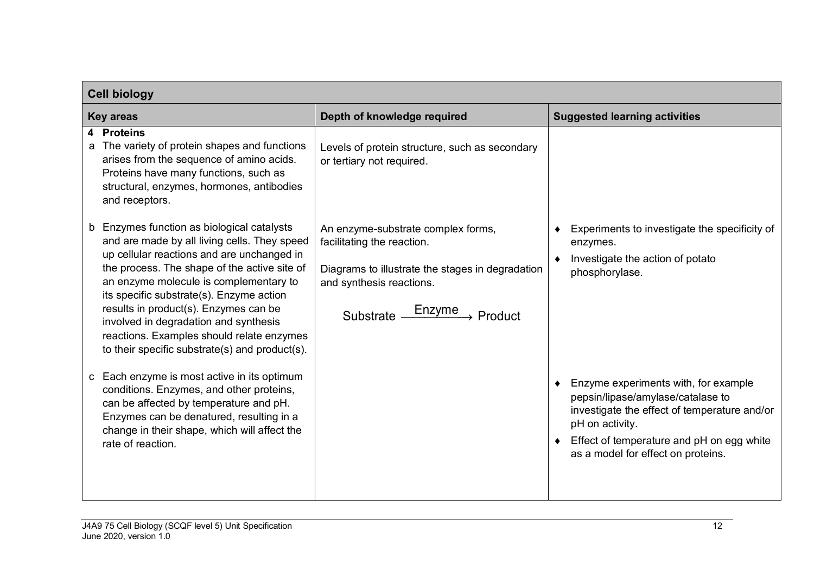| <b>Cell biology</b>                                                                                                                                                                                                                                                                                                                                                                                                                                                |                                                                                                                                                                                     |                                                                                                                                                                                                                                             |  |
|--------------------------------------------------------------------------------------------------------------------------------------------------------------------------------------------------------------------------------------------------------------------------------------------------------------------------------------------------------------------------------------------------------------------------------------------------------------------|-------------------------------------------------------------------------------------------------------------------------------------------------------------------------------------|---------------------------------------------------------------------------------------------------------------------------------------------------------------------------------------------------------------------------------------------|--|
| <b>Key areas</b>                                                                                                                                                                                                                                                                                                                                                                                                                                                   | Depth of knowledge required                                                                                                                                                         | <b>Suggested learning activities</b>                                                                                                                                                                                                        |  |
| $\overline{\mathbf{4}}$<br><b>Proteins</b><br>The variety of protein shapes and functions<br>arises from the sequence of amino acids.<br>Proteins have many functions, such as<br>structural, enzymes, hormones, antibodies<br>and receptors.                                                                                                                                                                                                                      | Levels of protein structure, such as secondary<br>or tertiary not required.                                                                                                         |                                                                                                                                                                                                                                             |  |
| Enzymes function as biological catalysts<br>b<br>and are made by all living cells. They speed<br>up cellular reactions and are unchanged in<br>the process. The shape of the active site of<br>an enzyme molecule is complementary to<br>its specific substrate(s). Enzyme action<br>results in product(s). Enzymes can be<br>involved in degradation and synthesis<br>reactions. Examples should relate enzymes<br>to their specific substrate(s) and product(s). | An enzyme-substrate complex forms,<br>facilitating the reaction.<br>Diagrams to illustrate the stages in degradation<br>and synthesis reactions.<br>Substrate <u>Enzyme</u> Product | Experiments to investigate the specificity of<br>enzymes.<br>Investigate the action of potato<br>phosphorylase.                                                                                                                             |  |
| Each enzyme is most active in its optimum<br>C<br>conditions. Enzymes, and other proteins,<br>can be affected by temperature and pH.<br>Enzymes can be denatured, resulting in a<br>change in their shape, which will affect the<br>rate of reaction.                                                                                                                                                                                                              |                                                                                                                                                                                     | • Enzyme experiments with, for example<br>pepsin/lipase/amylase/catalase to<br>investigate the effect of temperature and/or<br>pH on activity.<br>$\bullet$ Effect of temperature and pH on egg white<br>as a model for effect on proteins. |  |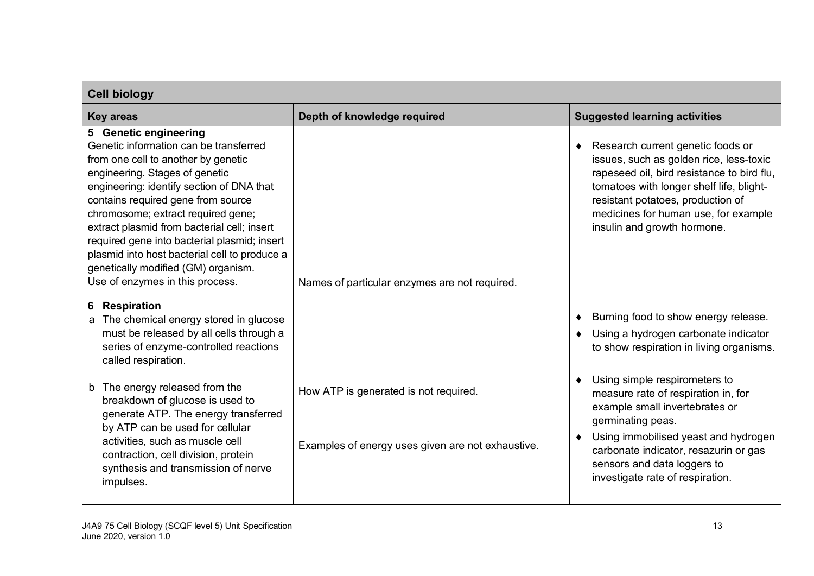| <b>Cell biology</b>                                                                                                                                                                                                                                                                                                                                                                                                                                                                                               |                                                                                            |                                                                                                                                                                                                                                                                                    |  |
|-------------------------------------------------------------------------------------------------------------------------------------------------------------------------------------------------------------------------------------------------------------------------------------------------------------------------------------------------------------------------------------------------------------------------------------------------------------------------------------------------------------------|--------------------------------------------------------------------------------------------|------------------------------------------------------------------------------------------------------------------------------------------------------------------------------------------------------------------------------------------------------------------------------------|--|
| <b>Key areas</b>                                                                                                                                                                                                                                                                                                                                                                                                                                                                                                  | Depth of knowledge required                                                                | <b>Suggested learning activities</b>                                                                                                                                                                                                                                               |  |
| 5 Genetic engineering<br>Genetic information can be transferred<br>from one cell to another by genetic<br>engineering. Stages of genetic<br>engineering: identify section of DNA that<br>contains required gene from source<br>chromosome; extract required gene;<br>extract plasmid from bacterial cell; insert<br>required gene into bacterial plasmid; insert<br>plasmid into host bacterial cell to produce a<br>genetically modified (GM) organism.<br>Use of enzymes in this process.<br><b>Respiration</b> | Names of particular enzymes are not required.                                              | Research current genetic foods or<br>issues, such as golden rice, less-toxic<br>rapeseed oil, bird resistance to bird flu,<br>tomatoes with longer shelf life, blight-<br>resistant potatoes, production of<br>medicines for human use, for example<br>insulin and growth hormone. |  |
| 6<br>The chemical energy stored in glucose<br>a<br>must be released by all cells through a<br>series of enzyme-controlled reactions<br>called respiration.                                                                                                                                                                                                                                                                                                                                                        |                                                                                            | Burning food to show energy release.<br>Using a hydrogen carbonate indicator<br>to show respiration in living organisms.                                                                                                                                                           |  |
| b The energy released from the<br>breakdown of glucose is used to<br>generate ATP. The energy transferred<br>by ATP can be used for cellular<br>activities, such as muscle cell<br>contraction, cell division, protein<br>synthesis and transmission of nerve<br>impulses.                                                                                                                                                                                                                                        | How ATP is generated is not required.<br>Examples of energy uses given are not exhaustive. | Using simple respirometers to<br>measure rate of respiration in, for<br>example small invertebrates or<br>germinating peas.<br>Using immobilised yeast and hydrogen<br>carbonate indicator, resazurin or gas<br>sensors and data loggers to<br>investigate rate of respiration.    |  |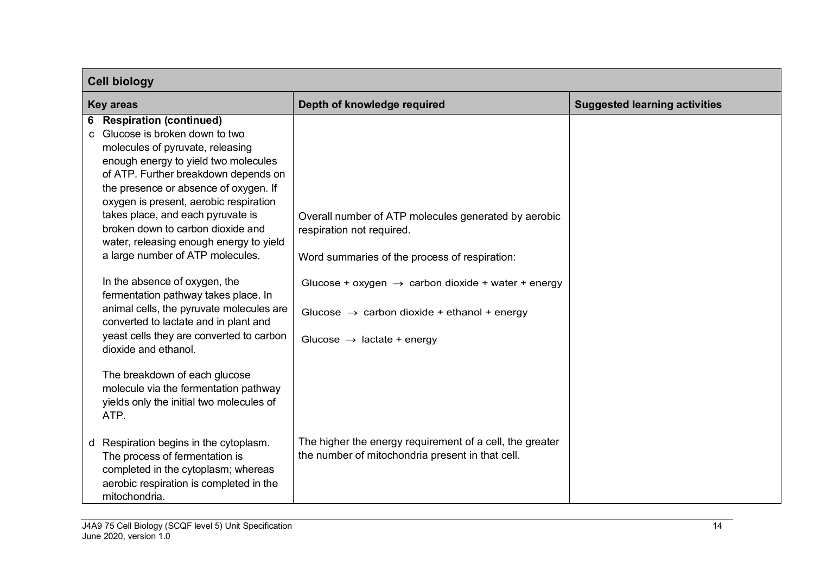|                  | <b>Cell biology</b>                                                                                                                                                                                                                                                                                                                                                                                                                                                                                                                                                                                                                                                                                                                                                                             |                                                                                                                                                                                                                                                                                                           |                                      |  |
|------------------|-------------------------------------------------------------------------------------------------------------------------------------------------------------------------------------------------------------------------------------------------------------------------------------------------------------------------------------------------------------------------------------------------------------------------------------------------------------------------------------------------------------------------------------------------------------------------------------------------------------------------------------------------------------------------------------------------------------------------------------------------------------------------------------------------|-----------------------------------------------------------------------------------------------------------------------------------------------------------------------------------------------------------------------------------------------------------------------------------------------------------|--------------------------------------|--|
| <b>Key areas</b> |                                                                                                                                                                                                                                                                                                                                                                                                                                                                                                                                                                                                                                                                                                                                                                                                 | Depth of knowledge required                                                                                                                                                                                                                                                                               | <b>Suggested learning activities</b> |  |
|                  | <b>6</b> Respiration (continued)<br>Glucose is broken down to two<br>C.<br>molecules of pyruvate, releasing<br>enough energy to yield two molecules<br>of ATP. Further breakdown depends on<br>the presence or absence of oxygen. If<br>oxygen is present, aerobic respiration<br>takes place, and each pyruvate is<br>broken down to carbon dioxide and<br>water, releasing enough energy to yield<br>a large number of ATP molecules.<br>In the absence of oxygen, the<br>fermentation pathway takes place. In<br>animal cells, the pyruvate molecules are<br>converted to lactate and in plant and<br>yeast cells they are converted to carbon<br>dioxide and ethanol.<br>The breakdown of each glucose<br>molecule via the fermentation pathway<br>yields only the initial two molecules of | Overall number of ATP molecules generated by aerobic<br>respiration not required.<br>Word summaries of the process of respiration:<br>Glucose + oxygen $\rightarrow$ carbon dioxide + water + energy<br>Glucose $\rightarrow$ carbon dioxide + ethanol + energy<br>Glucose $\rightarrow$ lactate + energy |                                      |  |
|                  | ATP.<br>d Respiration begins in the cytoplasm.<br>The process of fermentation is<br>completed in the cytoplasm; whereas<br>aerobic respiration is completed in the<br>mitochondria.                                                                                                                                                                                                                                                                                                                                                                                                                                                                                                                                                                                                             | The higher the energy requirement of a cell, the greater<br>the number of mitochondria present in that cell.                                                                                                                                                                                              |                                      |  |